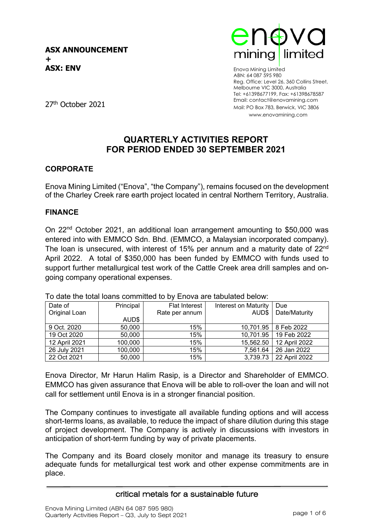

Enova Mining Limited ABN: 64 087 595 980 Reg. Office: Level 26, 360 Collins Street, Melbourne VIC 3000, Australia Tel: +61398677199, Fax: +61398678587 Email: contact@enovamining.com Mail: PO Box 783, Berwick, VIC 3806 www.enovamining.com

27th October 2021

## **QUARTERLY ACTIVITIES REPORT FOR PERIOD ENDED 30 SEPTEMBER 2021**

### **CORPORATE**

Enova Mining Limited ("Enova", "the Company"), remains focused on the development of the Charley Creek rare earth project located in central Northern Territory, Australia.

### **FINANCE**

On 22nd October 2021, an additional loan arrangement amounting to \$50,000 was entered into with EMMCO Sdn. Bhd. (EMMCO, a Malaysian incorporated company). The loan is unsecured, with interest of 15% per annum and a maturity date of 22<sup>nd</sup> April 2022. A total of \$350,000 has been funded by EMMCO with funds used to support further metallurgical test work of the Cattle Creek area drill samples and ongoing company operational expenses.

| Date of       | Principal | <b>Flat Interest</b> | Interest on Maturity | Due           |
|---------------|-----------|----------------------|----------------------|---------------|
| Original Loan |           | Rate per annum       | AUD\$                | Date/Maturity |
|               | AUD\$     |                      |                      |               |
| 9 Oct. 2020   | 50,000    | 15%                  | 10,701.95            | 8 Feb 2022    |
| 19 Oct 2020   | 50,000    | 15%                  | 10,701.95            | 19 Feb 2022   |
| 12 April 2021 | 100,000   | 15%                  | 15,562.50            | 12 April 2022 |
| 26 July 2021  | 100,000   | 15%                  | 7,561.64             | 26 Jan 2022   |
| 22 Oct 2021   | 50,000    | 15%                  | 3,739.73             | 22 April 2022 |

To date the total loans committed to by Enova are tabulated below:

Enova Director, Mr Harun Halim Rasip, is a Director and Shareholder of EMMCO. EMMCO has given assurance that Enova will be able to roll-over the loan and will not call for settlement until Enova is in a stronger financial position.

The Company continues to investigate all available funding options and will access short-terms loans, as available, to reduce the impact of share dilution during this stage of project development. The Company is actively in discussions with investors in anticipation of short-term funding by way of private placements.

The Company and its Board closely monitor and manage its treasury to ensure adequate funds for metallurgical test work and other expense commitments are in place.

#### critical metals for a sustainable future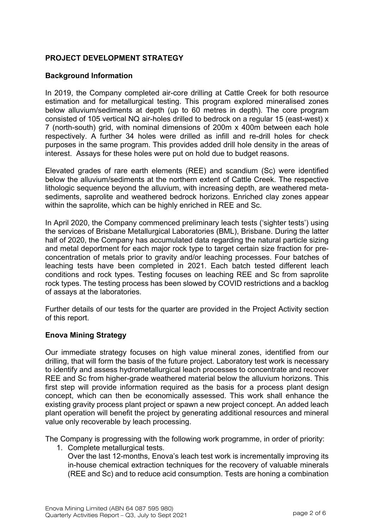### **PROJECT DEVELOPMENT STRATEGY**

### **Background Information**

In 2019, the Company completed air-core drilling at Cattle Creek for both resource estimation and for metallurgical testing. This program explored mineralised zones below alluvium/sediments at depth (up to 60 metres in depth). The core program consisted of 105 vertical NQ air-holes drilled to bedrock on a regular 15 (east-west) x 7 (north-south) grid, with nominal dimensions of 200m x 400m between each hole respectively. A further 34 holes were drilled as infill and re-drill holes for check purposes in the same program. This provides added drill hole density in the areas of interest. Assays for these holes were put on hold due to budget reasons.

Elevated grades of rare earth elements (REE) and scandium (Sc) were identified below the alluvium/sediments at the northern extent of Cattle Creek. The respective lithologic sequence beyond the alluvium, with increasing depth, are weathered metasediments, saprolite and weathered bedrock horizons. Enriched clay zones appear within the saprolite, which can be highly enriched in REE and Sc.

In April 2020, the Company commenced preliminary leach tests ('sighter tests') using the services of Brisbane Metallurgical Laboratories (BML), Brisbane. During the latter half of 2020, the Company has accumulated data regarding the natural particle sizing and metal deportment for each major rock type to target certain size fraction for preconcentration of metals prior to gravity and/or leaching processes. Four batches of leaching tests have been completed in 2021. Each batch tested different leach conditions and rock types. Testing focuses on leaching REE and Sc from saprolite rock types. The testing process has been slowed by COVID restrictions and a backlog of assays at the laboratories.

Further details of our tests for the quarter are provided in the Project Activity section of this report.

### **Enova Mining Strategy**

Our immediate strategy focuses on high value mineral zones, identified from our drilling, that will form the basis of the future project. Laboratory test work is necessary to identify and assess hydrometallurgical leach processes to concentrate and recover REE and Sc from higher-grade weathered material below the alluvium horizons. This first step will provide information required as the basis for a process plant design concept, which can then be economically assessed. This work shall enhance the existing gravity process plant project or spawn a new project concept. An added leach plant operation will benefit the project by generating additional resources and mineral value only recoverable by leach processing.

The Company is progressing with the following work programme, in order of priority:

1. Complete metallurgical tests.

Over the last 12-months, Enova's leach test work is incrementally improving its in-house chemical extraction techniques for the recovery of valuable minerals (REE and Sc) and to reduce acid consumption. Tests are honing a combination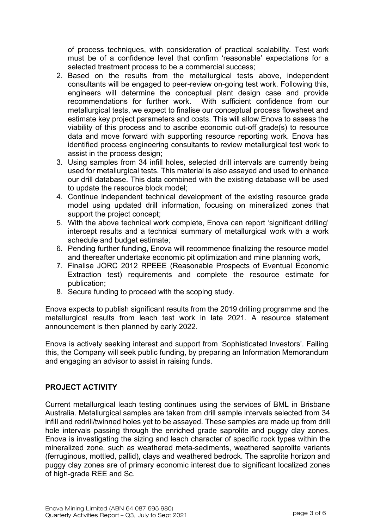of process techniques, with consideration of practical scalability. Test work must be of a confidence level that confirm 'reasonable' expectations for a selected treatment process to be a commercial success;

- 2. Based on the results from the metallurgical tests above, independent consultants will be engaged to peer-review on-going test work. Following this, engineers will determine the conceptual plant design case and provide With sufficient confidence from our metallurgical tests, we expect to finalise our conceptual process flowsheet and estimate key project parameters and costs. This will allow Enova to assess the viability of this process and to ascribe economic cut-off grade(s) to resource data and move forward with supporting resource reporting work. Enova has identified process engineering consultants to review metallurgical test work to assist in the process design;
- 3. Using samples from 34 infill holes, selected drill intervals are currently being used for metallurgical tests. This material is also assayed and used to enhance our drill database. This data combined with the existing database will be used to update the resource block model;
- 4. Continue independent technical development of the existing resource grade model using updated drill information, focusing on mineralized zones that support the project concept;
- 5. With the above technical work complete, Enova can report 'significant drilling' intercept results and a technical summary of metallurgical work with a work schedule and budget estimate;
- 6. Pending further funding, Enova will recommence finalizing the resource model and thereafter undertake economic pit optimization and mine planning work,
- 7. Finalise JORC 2012 RPEEE (Reasonable Prospects of Eventual Economic Extraction test) requirements and complete the resource estimate for publication;
- 8. Secure funding to proceed with the scoping study.

Enova expects to publish significant results from the 2019 drilling programme and the metallurgical results from leach test work in late 2021. A resource statement announcement is then planned by early 2022.

Enova is actively seeking interest and support from 'Sophisticated Investors'. Failing this, the Company will seek public funding, by preparing an Information Memorandum and engaging an advisor to assist in raising funds.

### **PROJECT ACTIVITY**

Current metallurgical leach testing continues using the services of BML in Brisbane Australia. Metallurgical samples are taken from drill sample intervals selected from 34 infill and redrill/twinned holes yet to be assayed. These samples are made up from drill hole intervals passing through the enriched grade saprolite and puggy clay zones. Enova is investigating the sizing and leach character of specific rock types within the mineralized zone, such as weathered meta-sediments, weathered saprolite variants (ferruginous, mottled, pallid), clays and weathered bedrock. The saprolite horizon and puggy clay zones are of primary economic interest due to significant localized zones of high-grade REE and Sc.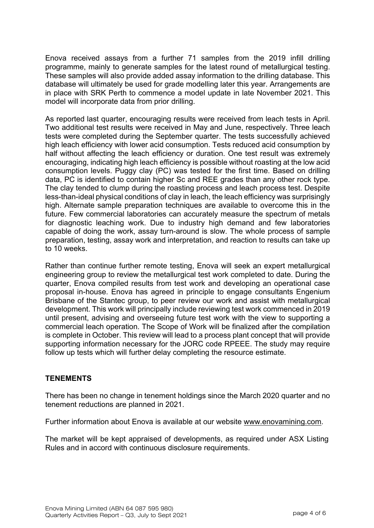Enova received assays from a further 71 samples from the 2019 infill drilling programme, mainly to generate samples for the latest round of metallurgical testing. These samples will also provide added assay information to the drilling database. This database will ultimately be used for grade modelling later this year. Arrangements are in place with SRK Perth to commence a model update in late November 2021. This model will incorporate data from prior drilling.

As reported last quarter, encouraging results were received from leach tests in April. Two additional test results were received in May and June, respectively. Three leach tests were completed during the September quarter. The tests successfully achieved high leach efficiency with lower acid consumption. Tests reduced acid consumption by half without affecting the leach efficiency or duration. One test result was extremely encouraging, indicating high leach efficiency is possible without roasting at the low acid consumption levels. Puggy clay (PC) was tested for the first time. Based on drilling data, PC is identified to contain higher Sc and REE grades than any other rock type. The clay tended to clump during the roasting process and leach process test. Despite less-than-ideal physical conditions of clay in leach, the leach efficiency was surprisingly high. Alternate sample preparation techniques are available to overcome this in the future. Few commercial laboratories can accurately measure the spectrum of metals for diagnostic leaching work. Due to industry high demand and few laboratories capable of doing the work, assay turn-around is slow. The whole process of sample preparation, testing, assay work and interpretation, and reaction to results can take up to 10 weeks.

Rather than continue further remote testing, Enova will seek an expert metallurgical engineering group to review the metallurgical test work completed to date. During the quarter, Enova compiled results from test work and developing an operational case proposal in-house. Enova has agreed in principle to engage consultants Engenium Brisbane of the Stantec group, to peer review our work and assist with metallurgical development. This work will principally include reviewing test work commenced in 2019 until present, advising and overseeing future test work with the view to supporting a commercial leach operation. The Scope of Work will be finalized after the compilation is complete in October. This review will lead to a process plant concept that will provide supporting information necessary for the JORC code RPEEE. The study may require follow up tests which will further delay completing the resource estimate.

### **TENEMENTS**

There has been no change in tenement holdings since the March 2020 quarter and no tenement reductions are planned in 2021.

Further information about Enova is available at our website [www.enovamining.com.](http://www.enovamining.com/)

The market will be kept appraised of developments, as required under ASX Listing Rules and in accord with continuous disclosure requirements.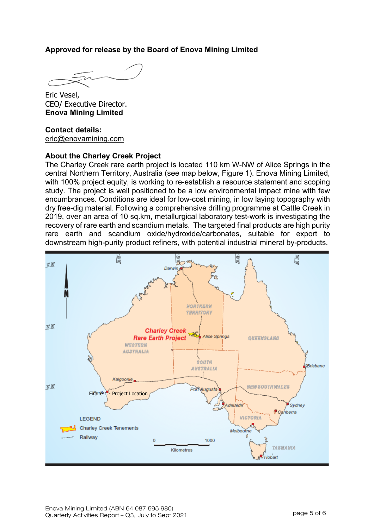### **Approved for release by the Board of Enova Mining Limited**

Eric Vesel, CEO/ Executive Director. **Enova Mining Limited**

#### **Contact details:** [eric@enovamining.com](mailto:eric@enovamining.com)

#### **About the Charley Creek Project**

The Charley Creek rare earth project is located 110 km W-NW of Alice Springs in the central Northern Territory, Australia (see map below, Figure 1). Enova Mining Limited, with 100% project equity, is working to re-establish a resource statement and scoping study. The project is well positioned to be a low environmental impact mine with few encumbrances. Conditions are ideal for low-cost mining, in low laying topography with dry free-dig material. Following a comprehensive drilling programme at Cattle Creek in 2019, over an area of 10 sq.km, metallurgical laboratory test-work is investigating the recovery of rare earth and scandium metals. The targeted final products are high purity rare earth and scandium oxide/hydroxide/carbonates, suitable for export to downstream high-purity product refiners, with potential industrial mineral by-products.

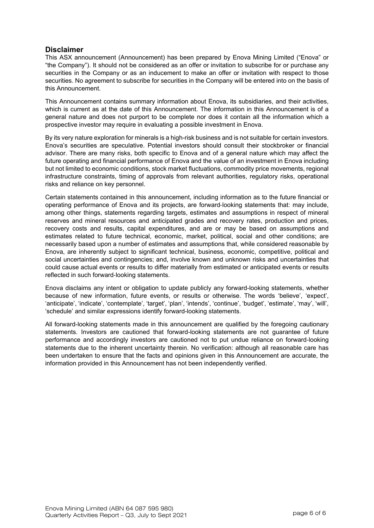#### **Disclaimer**

This ASX announcement (Announcement) has been prepared by Enova Mining Limited ("Enova" or "the Company"). It should not be considered as an offer or invitation to subscribe for or purchase any securities in the Company or as an inducement to make an offer or invitation with respect to those securities. No agreement to subscribe for securities in the Company will be entered into on the basis of this Announcement.

This Announcement contains summary information about Enova, its subsidiaries, and their activities, which is current as at the date of this Announcement. The information in this Announcement is of a general nature and does not purport to be complete nor does it contain all the information which a prospective investor may require in evaluating a possible investment in Enova.

By its very nature exploration for minerals is a high-risk business and is not suitable for certain investors. Enova's securities are speculative. Potential investors should consult their stockbroker or financial advisor. There are many risks, both specific to Enova and of a general nature which may affect the future operating and financial performance of Enova and the value of an investment in Enova including but not limited to economic conditions, stock market fluctuations, commodity price movements, regional infrastructure constraints, timing of approvals from relevant authorities, regulatory risks, operational risks and reliance on key personnel.

Certain statements contained in this announcement, including information as to the future financial or operating performance of Enova and its projects, are forward‐looking statements that: may include, among other things, statements regarding targets, estimates and assumptions in respect of mineral reserves and mineral resources and anticipated grades and recovery rates, production and prices, recovery costs and results, capital expenditures, and are or may be based on assumptions and estimates related to future technical, economic, market, political, social and other conditions; are necessarily based upon a number of estimates and assumptions that, while considered reasonable by Enova, are inherently subject to significant technical, business, economic, competitive, political and social uncertainties and contingencies; and, involve known and unknown risks and uncertainties that could cause actual events or results to differ materially from estimated or anticipated events or results reflected in such forward‐looking statements.

Enova disclaims any intent or obligation to update publicly any forward-looking statements, whether because of new information, future events, or results or otherwise. The words 'believe', 'expect', 'anticipate', 'indicate', 'contemplate', 'target', 'plan', 'intends', 'continue', 'budget', 'estimate', 'may', 'will', 'schedule' and similar expressions identify forward-looking statements.

All forward-looking statements made in this announcement are qualified by the foregoing cautionary statements. Investors are cautioned that forward-looking statements are not guarantee of future performance and accordingly investors are cautioned not to put undue reliance on forward‐looking statements due to the inherent uncertainty therein. No verification: although all reasonable care has been undertaken to ensure that the facts and opinions given in this Announcement are accurate, the information provided in this Announcement has not been independently verified.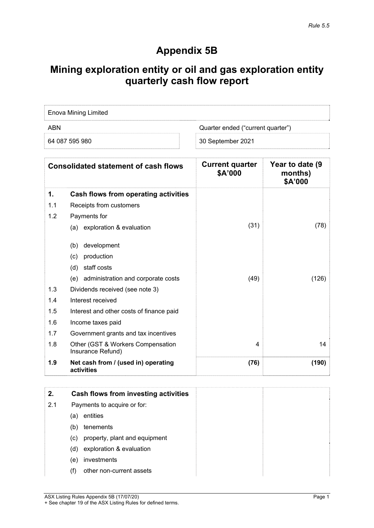# **Appendix 5B**

# **Mining exploration entity or oil and gas exploration entity quarterly cash flow report**

| <b>Enova Mining Limited</b> |                                   |
|-----------------------------|-----------------------------------|
| ARN                         | Quarter ended ("current quarter") |
| 64 087 595 980              | 30 September 2021                 |

|     | <b>Consolidated statement of cash flows</b>            | <b>Current quarter</b><br>\$A'000 | Year to date (9<br>months)<br>\$A'000 |
|-----|--------------------------------------------------------|-----------------------------------|---------------------------------------|
| 1.  | Cash flows from operating activities                   |                                   |                                       |
| 1.1 | Receipts from customers                                |                                   |                                       |
| 1.2 | Payments for                                           |                                   |                                       |
|     | (a) exploration & evaluation                           | (31)                              | (78)                                  |
|     | development<br>(b)                                     |                                   |                                       |
|     | production<br>(c)                                      |                                   |                                       |
|     | staff costs<br>(d)                                     |                                   |                                       |
|     | (e) administration and corporate costs                 | (49)                              | (126)                                 |
| 1.3 | Dividends received (see note 3)                        |                                   |                                       |
| 1.4 | Interest received                                      |                                   |                                       |
| 1.5 | Interest and other costs of finance paid               |                                   |                                       |
| 1.6 | Income taxes paid                                      |                                   |                                       |
| 1.7 | Government grants and tax incentives                   |                                   |                                       |
| 1.8 | Other (GST & Workers Compensation<br>Insurance Refund) | 4                                 | 14                                    |
| 1.9 | Net cash from / (used in) operating<br>activities      | (76)                              | (190)                                 |

| 2.  | Cash flows from investing activities |
|-----|--------------------------------------|
| 2.1 | Payments to acquire or for:          |
|     | entities<br>(a)                      |
|     | tenements<br>(b)                     |
|     | property, plant and equipment<br>(C) |
|     | exploration & evaluation<br>(d)      |
|     | investments<br>(e)                   |
|     | other non-current assets<br>(f)      |

ASX Listing Rules Appendix 5B (17/07/20) Page 1 + See chapter 19 of the ASX Listing Rules for defined terms.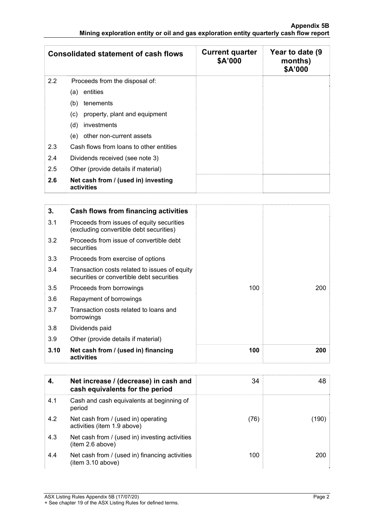|     | <b>Consolidated statement of cash flows</b>       | <b>Current quarter</b><br>\$A'000 | Year to date (9<br>months)<br>\$A'000 |
|-----|---------------------------------------------------|-----------------------------------|---------------------------------------|
| 2.2 | Proceeds from the disposal of:                    |                                   |                                       |
|     | entities<br>(a)                                   |                                   |                                       |
|     | (b)<br>tenements                                  |                                   |                                       |
|     | property, plant and equipment<br>(c)              |                                   |                                       |
|     | (d)<br>investments                                |                                   |                                       |
|     | other non-current assets<br>(e)                   |                                   |                                       |
| 2.3 | Cash flows from loans to other entities           |                                   |                                       |
| 2.4 | Dividends received (see note 3)                   |                                   |                                       |
| 2.5 | Other (provide details if material)               |                                   |                                       |
| 2.6 | Net cash from / (used in) investing<br>activities |                                   |                                       |

| 3.   | Cash flows from financing activities                                                       |     |     |
|------|--------------------------------------------------------------------------------------------|-----|-----|
| 3.1  | Proceeds from issues of equity securities<br>(excluding convertible debt securities)       |     |     |
| 3.2  | Proceeds from issue of convertible debt<br>securities                                      |     |     |
| 3.3  | Proceeds from exercise of options                                                          |     |     |
| 3.4  | Transaction costs related to issues of equity<br>securities or convertible debt securities |     |     |
| 3.5  | Proceeds from borrowings                                                                   | 100 | 200 |
| 3.6  | Repayment of borrowings                                                                    |     |     |
| 3.7  | Transaction costs related to loans and<br>borrowings                                       |     |     |
| 3.8  | Dividends paid                                                                             |     |     |
| 3.9  | Other (provide details if material)                                                        |     |     |
| 3.10 | Net cash from / (used in) financing<br>activities                                          | 100 | 200 |

| 4.  | Net increase / (decrease) in cash and<br>cash equivalents for the period | 34   | 48    |
|-----|--------------------------------------------------------------------------|------|-------|
| 4.1 | Cash and cash equivalents at beginning of<br>period                      |      |       |
| 4.2 | Net cash from / (used in) operating<br>activities (item 1.9 above)       | (76) | (190) |
| 4.3 | Net cash from / (used in) investing activities<br>item 2.6 above)        |      |       |
| 4.4 | Net cash from / (used in) financing activities<br>(item 3.10 above)      | 100  | 200   |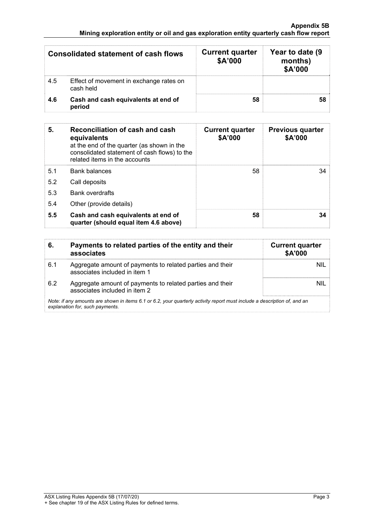| <b>Consolidated statement of cash flows</b> |                                                      | <b>Current quarter</b><br>\$A'000 | Year to date (9)<br>months)<br>\$A'000 |
|---------------------------------------------|------------------------------------------------------|-----------------------------------|----------------------------------------|
| 4.5                                         | Effect of movement in exchange rates on<br>cash held |                                   |                                        |
| 4.6                                         | Cash and cash equivalents at end of<br>period        | 58                                |                                        |

| 5.  | Reconciliation of cash and cash<br>equivalents<br>at the end of the quarter (as shown in the<br>consolidated statement of cash flows) to the<br>related items in the accounts | <b>Current quarter</b><br>\$A'000 | <b>Previous quarter</b><br>\$A'000 |
|-----|-------------------------------------------------------------------------------------------------------------------------------------------------------------------------------|-----------------------------------|------------------------------------|
| 5.1 | <b>Bank balances</b>                                                                                                                                                          | 58                                | 34                                 |
| 5.2 | Call deposits                                                                                                                                                                 |                                   |                                    |
| 5.3 | <b>Bank overdrafts</b>                                                                                                                                                        |                                   |                                    |
| 5.4 | Other (provide details)                                                                                                                                                       |                                   |                                    |
| 5.5 | Cash and cash equivalents at end of<br>quarter (should equal item 4.6 above)                                                                                                  | 58                                | 34                                 |

| 6.  | Payments to related parties of the entity and their<br>associates                                                                                           | <b>Current quarter</b><br>\$A'000 |  |
|-----|-------------------------------------------------------------------------------------------------------------------------------------------------------------|-----------------------------------|--|
| 6.1 | Aggregate amount of payments to related parties and their<br>associates included in item 1                                                                  | nil                               |  |
| 6.2 | Aggregate amount of payments to related parties and their<br>associates included in item 2                                                                  | nil                               |  |
|     | Note: if any amounts are shown in items 6.1 or 6.2, your quarterly activity report must include a description of, and an<br>explanation for, such payments. |                                   |  |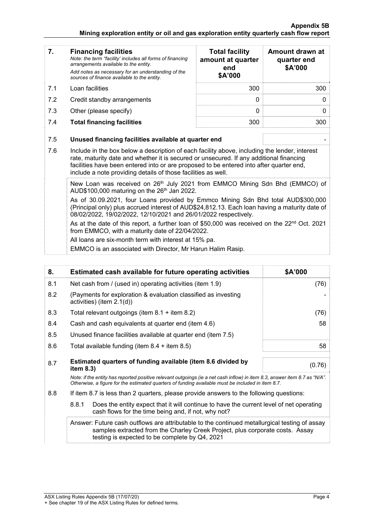#### **Appendix 5B Mining exploration entity or oil and gas exploration entity quarterly cash flow report**

| 7.         | <b>Financing facilities</b><br>Note: the term "facility' includes all forms of financing<br>arrangements available to the entity.<br>Add notes as necessary for an understanding of the<br>sources of finance available to the entity.                                                                                                                                                                                                                                                                                                                                                                                                                                | <b>Total facility</b><br>amount at quarter<br>end<br>\$A'000 | Amount drawn at<br>quarter end<br>\$A'000 |
|------------|-----------------------------------------------------------------------------------------------------------------------------------------------------------------------------------------------------------------------------------------------------------------------------------------------------------------------------------------------------------------------------------------------------------------------------------------------------------------------------------------------------------------------------------------------------------------------------------------------------------------------------------------------------------------------|--------------------------------------------------------------|-------------------------------------------|
| 7.1        | Loan facilities                                                                                                                                                                                                                                                                                                                                                                                                                                                                                                                                                                                                                                                       | 300                                                          | 300                                       |
| 7.2        | Credit standby arrangements                                                                                                                                                                                                                                                                                                                                                                                                                                                                                                                                                                                                                                           | 0                                                            | 0                                         |
| 7.3        | Other (please specify)                                                                                                                                                                                                                                                                                                                                                                                                                                                                                                                                                                                                                                                | $\mathbf{0}$                                                 | 0                                         |
| 7.4        | <b>Total financing facilities</b>                                                                                                                                                                                                                                                                                                                                                                                                                                                                                                                                                                                                                                     | 300                                                          | 300                                       |
| 7.5<br>7.6 | Unused financing facilities available at quarter end<br>Include in the box below a description of each facility above, including the lender, interest<br>rate, maturity date and whether it is secured or unsecured. If any additional financing<br>facilities have been entered into or are proposed to be entered into after quarter end,<br>include a note providing details of those facilities as well.                                                                                                                                                                                                                                                          |                                                              |                                           |
|            | New Loan was received on 26th July 2021 from EMMCO Mining Sdn Bhd (EMMCO) of<br>AUD\$100,000 maturing on the $26th$ Jan 2022.<br>As of 30.09.2021, four Loans provided by Emmco Mining Sdn Bhd total AUD\$300,000<br>(Principal only) plus accrued interest of AUD\$24,812.13. Each loan having a maturity date of<br>08/02/2022, 19/02/2022, 12/10/2021 and 26/01/2022 respectively.<br>As at the date of this report, a further loan of \$50,000 was received on the $22^{nd}$ Oct. 2021<br>from EMMCO, with a maturity date of 22/04/2022.<br>All loans are six-month term with interest at 15% pa.<br>EMMCO is an associated with Director, Mr Harun Halim Rasip. |                                                              |                                           |

| 8.  | Estimated cash available for future operating activities                                                                                                                                                                        | \$A'000 |
|-----|---------------------------------------------------------------------------------------------------------------------------------------------------------------------------------------------------------------------------------|---------|
| 8.1 | Net cash from / (used in) operating activities (item 1.9)                                                                                                                                                                       | (76)    |
| 8.2 | (Payments for exploration & evaluation classified as investing<br>activities) (item $2.1(d)$ )                                                                                                                                  |         |
| 8.3 | Total relevant outgoings (item $8.1 +$ item $8.2$ )                                                                                                                                                                             | (76)    |
| 8.4 | Cash and cash equivalents at quarter end (item 4.6)                                                                                                                                                                             | 58      |
| 8.5 | Unused finance facilities available at quarter end (item 7.5)                                                                                                                                                                   |         |
| 8.6 | Total available funding (item $8.4 +$ item $8.5$ )                                                                                                                                                                              | 58      |
| 8.7 | Estimated quarters of funding available (item 8.6 divided by<br>item $8.3$ )                                                                                                                                                    | (0.76)  |
|     | Note: if the entity has reported positive relevant outgoings (ie a net cash inflow) in item 8.3, answer item 8.7 as "N/A".<br>Otherwise, a figure for the estimated quarters of funding available must be included in item 8.7. |         |
|     |                                                                                                                                                                                                                                 |         |

- 8.8 If item 8.7 is less than 2 quarters, please provide answers to the following questions:
	- 8.8.1 Does the entity expect that it will continue to have the current level of net operating cash flows for the time being and, if not, why not?

 Answer: Future cash outflows are attributable to the continued metallurgical testing of assay samples extracted from the Charley Creek Project, plus corporate costs. Assay testing is expected to be complete by Q4, 2021